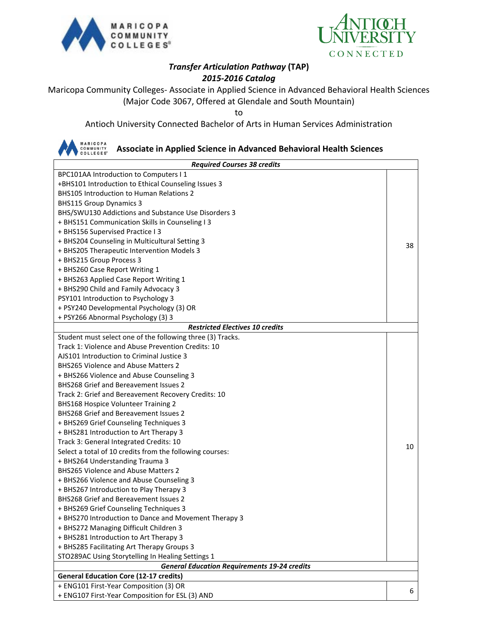



## *Transfer Articulation Pathway* **(TAP)** *2015-2016 Catalog*

Maricopa Community Colleges- Associate in Applied Science in Advanced Behavioral Health Sciences (Major Code 3067, Offered at Glendale and South Mountain)

to

Antioch University Connected Bachelor of Arts in Human Services Administration

## MARICOPA<br>COMMUNITY<br>COLLEGES® **Associate in Applied Science in Advanced Behavioral Health Sciences**  *Required Courses 38 credits* BPC101AA Introduction to Computers I 1 +BHS101 Introduction to Ethical Counseling Issues 3 BHS105 Introduction to Human Relations 2 BHS115 Group Dynamics 3 BHS/SWU130 Addictions and Substance Use Disorders 3 + BHS151 Communication Skills in Counseling I 3 + BHS156 Supervised Practice I 3 + BHS204 Counseling in Multicultural Setting 3 38 + BHS205 Therapeutic Intervention Models 3 + BHS215 Group Process 3 + BHS260 Case Report Writing 1 + BHS263 Applied Case Report Writing 1 + BHS290 Child and Family Advocacy 3 PSY101 Introduction to Psychology 3 + PSY240 Developmental Psychology (3) OR + PSY266 Abnormal Psychology (3) 3 *Restricted Electives 10 credits* Student must select one of the following three (3) Tracks. Track 1: Violence and Abuse Prevention Credits: 10 AJS101 Introduction to Criminal Justice 3 BHS265 Violence and Abuse Matters 2 + BHS266 Violence and Abuse Counseling 3 BHS268 Grief and Bereavement Issues 2 Track 2: Grief and Bereavement Recovery Credits: 10 BHS168 Hospice Volunteer Training 2 BHS268 Grief and Bereavement Issues 2 + BHS269 Grief Counseling Techniques 3 + BHS281 Introduction to Art Therapy 3 Track 3: General Integrated Credits: 10 10 Select a total of 10 credits from the following courses: + BHS264 Understanding Trauma 3 BHS265 Violence and Abuse Matters 2 + BHS266 Violence and Abuse Counseling 3 + BHS267 Introduction to Play Therapy 3 BHS268 Grief and Bereavement Issues 2 + BHS269 Grief Counseling Techniques 3 + BHS270 Introduction to Dance and Movement Therapy 3 + BHS272 Managing Difficult Children 3 + BHS281 Introduction to Art Therapy 3 + BHS285 Facilitating Art Therapy Groups 3 STO289AC Using Storytelling In Healing Settings 1 *General Education Requirements 19-24 credits* **General Education Core (12-17 credits)** + ENG101 First-Year Composition (3) OR + ENG107 First-Year Composition for ESL (3) AND <sup>6</sup>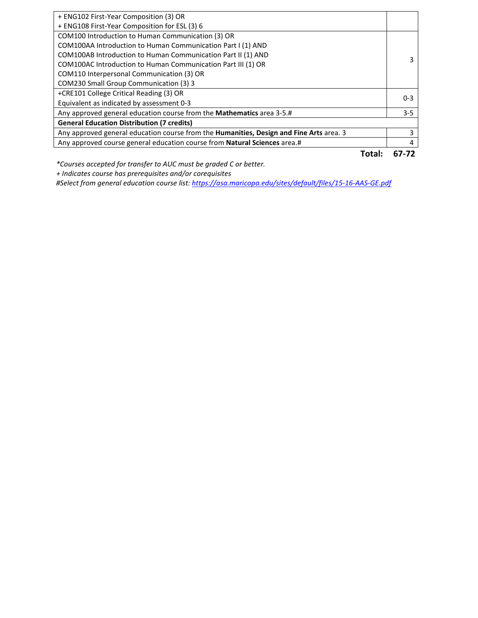| Total:                                                                                  | 67-72   |  |  |
|-----------------------------------------------------------------------------------------|---------|--|--|
| Any approved course general education course from Natural Sciences area.#               | 4       |  |  |
| Any approved general education course from the Humanities, Design and Fine Arts area. 3 | 3       |  |  |
| <b>General Education Distribution (7 credits)</b>                                       |         |  |  |
| Any approved general education course from the Mathematics area 3-5.#                   | $3 - 5$ |  |  |
| Equivalent as indicated by assessment 0-3                                               |         |  |  |
| +CRE101 College Critical Reading (3) OR                                                 | $0 - 3$ |  |  |
| COM230 Small Group Communication (3) 3                                                  |         |  |  |
| COM110 Interpersonal Communication (3) OR                                               |         |  |  |
| COM100AC Introduction to Human Communication Part III (1) OR                            | 3       |  |  |
| COM100AB Introduction to Human Communication Part II (1) AND                            |         |  |  |
| COM100AA Introduction to Human Communication Part I (1) AND                             |         |  |  |
| COM100 Introduction to Human Communication (3) OR                                       |         |  |  |
| + ENG108 First-Year Composition for ESL (3) 6                                           |         |  |  |
| + ENG102 First-Year Composition (3) OR                                                  |         |  |  |
|                                                                                         |         |  |  |

*\*Courses accepted for transfer to AUC must be graded C or better.*

 *+ Indicates course has prerequisites and/or corequisites*

*#Select from general education course list:<https://asa.maricopa.edu/sites/default/files/15-16-AAS-GE.pdf>*